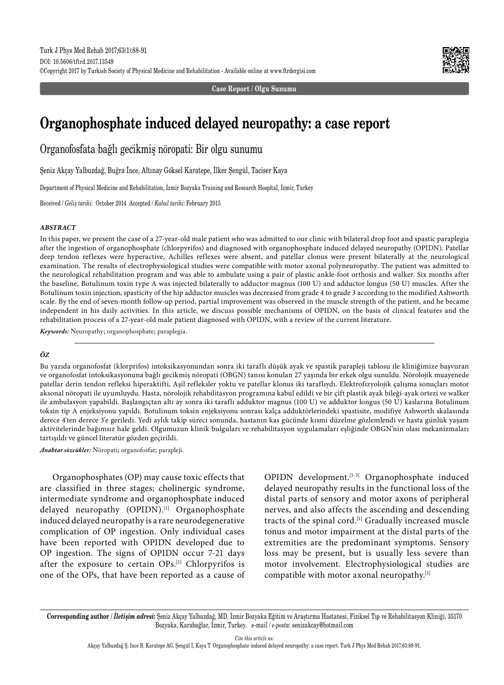**Case Report / Olgu Sunumu**

# **Organophosphate induced delayed neuropathy: a case report**

Organofosfata bağlı gecikmiş nöropati: Bir olgu sunumu

Şeniz Akçay Yalbuzdağ, Buğra İnce, Altınay Göksel Karatepe, İlker Şengül, Taciser Kaya

Department of Physical Medicine and Rehabilitation, İzmir Bozyaka Training and Research Hospital, İzmir, Turkey

Received / *Geliş tarihi*: October 2014 Accepted / *Kabul tarihi*: February 2015

## *ABSTRACT*

In this paper, we present the case of a 27-year-old male patient who was admitted to our clinic with bilateral drop foot and spastic paraplegia after the ingestion of organophosphate (chlorpyrifos) and diagnosed with organophosphate induced delayed neuropathy (OPIDN). Patellar deep tendon reflexes were hyperactive, Achilles reflexes were absent, and patellar clonus were present bilaterally at the neurological examination. The results of electrophysiological studies were compatible with motor axonal polyneuropathy. The patient was admitted to the neurological rehabilitation program and was able to ambulate using a pair of plastic ankle-foot orthosis and walker. Six months after the baseline, Botulinum toxin type A was injected bilaterally to adductor magnus (100 U) and adductor longus (50 U) muscles. After the Botulinum toxin injection, spasticity of the hip adductor muscles was decreased from grade 4 to grade 3 according to the modified Ashworth scale. By the end of seven-month follow-up period, partial improvement was observed in the muscle strength of the patient, and he became independent in his daily activities. In this article, we discuss possible mechanisms of OPIDN, on the basis of clinical features and the rehabilitation process of a 27-year-old male patient diagnosed with OPIDN, with a review of the current literature.

*Keywords:* Neuropathy; organophosphate; paraplegia.

## *ÖZ*

Bu yazıda organofosfat (klorprifos) intoksikasyonundan sonra iki taraflı düşük ayak ve spastik parapleji tablosu ile kliniğimize başvuran ve organofosfat intoksikasyonuna bağlı gecikmiş nöropati (OBGN) tanısı konulan 27 yaşında bir erkek olgu sunuldu. Nörolojik muayenede patellar derin tendon refleksi hiperaktifti, Aşil refleksler yoktu ve patellar klonus iki taraflıydı. Elektrofizyolojik çalışma sonuçları motor aksonal nöropati ile uyumluydu. Hasta, nörolojik rehabilitasyon programına kabul edildi ve bir çift plastik ayak bileği-ayak ortezi ve walker ile ambulasyon yapabildi. Başlangıçtan altı ay sonra iki taraflı adduktor magnus (100 U) ve adduktor longus (50 U) kaslarına Botulinum toksin tip A enjeksiyonu yapıldı. Botulinum toksin enjeksiyonu sonrası kalça adduktörlerindeki spastisite, modifiye Ashworth skalasında derece 4'ten derece 3'e geriledi. Yedi aylık takip süreci sonunda, hastanın kas gücünde kısmi düzelme gözlemlendi ve hasta günlük yaşam aktivitelerinde bağımsız hale geldi. Olgumuzun klinik bulguları ve rehabilitasyon uygulamaları eşliğinde OBGN'nin olası mekanizmaları tartışıldı ve güncel literatür gözden geçirildi.

*Anahtar sözcükler:* Nöropati; organofosfat; parapleji.

Organophosphates (OP) may cause toxic effects that are classified in three stages; cholinergic syndrome, intermediate syndrome and organophosphate induced delayed neuropathy (OPIDN).<sup>[1]</sup> Organophosphate induced delayed neuropathy is a rare neurodegenerative complication of OP ingestion. Only individual cases have been reported with OPIDN developed due to OP ingestion. The signs of OPIDN occur 7-21 days after the exposure to certain OPs.[1] Chlorpyrifos is one of the OPs, that have been reported as a cause of OPIDN development.<sup>[1-3]</sup> Organophosphate induced delayed neuropathy results in the functional loss of the distal parts of sensory and motor axons of peripheral nerves, and also affects the ascending and descending tracts of the spinal cord.<sup>[1]</sup> Gradually increased muscle tonus and motor impairment at the distal parts of the extremities are the predominant symptoms. Sensory loss may be present, but is usually less severe than motor involvement. Electrophysiological studies are compatible with motor axonal neuropathy.[1]

**Corresponding author /** *İletişim adresi***:** Şeniz Akçay Yalbuzdağ, MD. İzmir Bozyaka Eğitim ve Araştırma Hastanesi, Fiziksel Tıp ve Rehabilitasyon Kliniği, 35170 Bozyaka, Karabağlar, İzmir, Turkey. e-mail / *e-posta*: senizakcay@hotmail.com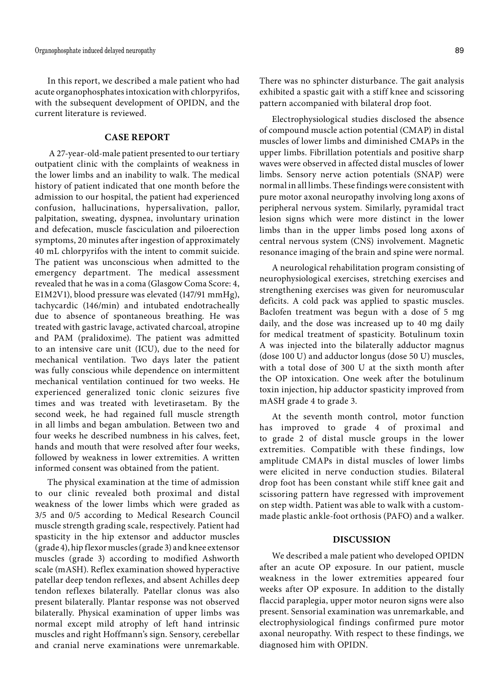In this report, we described a male patient who had acute organophosphates intoxication with chlorpyrifos, with the subsequent development of OPIDN, and the current literature is reviewed.

# **CASE REPORT**

 A 27-year-old-male patient presented to our tertiary outpatient clinic with the complaints of weakness in the lower limbs and an inability to walk. The medical history of patient indicated that one month before the admission to our hospital, the patient had experienced confusion, hallucinations, hypersalivation, pallor, palpitation, sweating, dyspnea, involuntary urination and defecation, muscle fasciculation and piloerection symptoms, 20 minutes after ingestion of approximately 40 mL chlorpyrifos with the intent to commit suicide. The patient was unconscious when admitted to the emergency department. The medical assessment revealed that he was in a coma (Glasgow Coma Score: 4, E1M2V1), blood pressure was elevated (147/91 mmHg), tachycardic (146/min) and intubated endotracheally due to absence of spontaneous breathing. He was treated with gastric lavage, activated charcoal, atropine and PAM (pralidoxime). The patient was admitted to an intensive care unit (ICU), due to the need for mechanical ventilation. Two days later the patient was fully conscious while dependence on intermittent mechanical ventilation continued for two weeks. He experienced generalized tonic clonic seizures five times and was treated with levetirasetam. By the second week, he had regained full muscle strength in all limbs and began ambulation. Between two and four weeks he described numbness in his calves, feet, hands and mouth that were resolved after four weeks, followed by weakness in lower extremities. A written informed consent was obtained from the patient.

The physical examination at the time of admission to our clinic revealed both proximal and distal weakness of the lower limbs which were graded as 3/5 and 0/5 according to Medical Research Council muscle strength grading scale, respectively. Patient had spasticity in the hip extensor and adductor muscles (grade 4), hip flexor muscles (grade 3) and knee extensor muscles (grade 3) according to modified Ashworth scale (mASH). Reflex examination showed hyperactive patellar deep tendon reflexes, and absent Achilles deep tendon reflexes bilaterally. Patellar clonus was also present bilaterally. Plantar response was not observed bilaterally. Physical examination of upper limbs was normal except mild atrophy of left hand intrinsic muscles and right Hoffmann's sign. Sensory, cerebellar and cranial nerve examinations were unremarkable. There was no sphincter disturbance. The gait analysis exhibited a spastic gait with a stiff knee and scissoring pattern accompanied with bilateral drop foot.

Electrophysiological studies disclosed the absence of compound muscle action potential (CMAP) in distal muscles of lower limbs and diminished CMAPs in the upper limbs. Fibrillation potentials and positive sharp waves were observed in affected distal muscles of lower limbs. Sensory nerve action potentials (SNAP) were normal in all limbs. These findings were consistent with pure motor axonal neuropathy involving long axons of peripheral nervous system. Similarly, pyramidal tract lesion signs which were more distinct in the lower limbs than in the upper limbs posed long axons of central nervous system (CNS) involvement. Magnetic resonance imaging of the brain and spine were normal.

A neurological rehabilitation program consisting of neurophysiological exercises, stretching exercises and strengthening exercises was given for neuromuscular deficits. A cold pack was applied to spastic muscles. Baclofen treatment was begun with a dose of 5 mg daily, and the dose was increased up to 40 mg daily for medical treatment of spasticity. Botulinum toxin A was injected into the bilaterally adductor magnus (dose 100 U) and adductor longus (dose 50 U) muscles, with a total dose of 300 U at the sixth month after the OP intoxication. One week after the botulinum toxin injection, hip adductor spasticity improved from mASH grade 4 to grade 3.

At the seventh month control, motor function has improved to grade 4 of proximal and to grade 2 of distal muscle groups in the lower extremities. Compatible with these findings, low amplitude CMAPs in distal muscles of lower limbs were elicited in nerve conduction studies. Bilateral drop foot has been constant while stiff knee gait and scissoring pattern have regressed with improvement on step width. Patient was able to walk with a custommade plastic ankle-foot orthosis (PAFO) and a walker.

# **DISCUSSION**

We described a male patient who developed OPIDN after an acute OP exposure. In our patient, muscle weakness in the lower extremities appeared four weeks after OP exposure. In addition to the distally flaccid paraplegia, upper motor neuron signs were also present. Sensorial examination was unremarkable, and electrophysiological findings confirmed pure motor axonal neuropathy. With respect to these findings, we diagnosed him with OPIDN.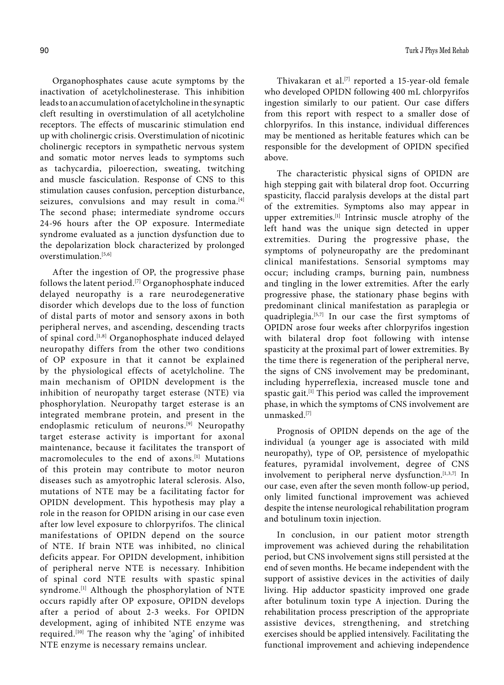Organophosphates cause acute symptoms by the inactivation of acetylcholinesterase. This inhibition leads to an accumulation of acetylcholine in the synaptic cleft resulting in overstimulation of all acetylcholine receptors. The effects of muscarinic stimulation end up with cholinergic crisis. Overstimulation of nicotinic cholinergic receptors in sympathetic nervous system and somatic motor nerves leads to symptoms such as tachycardia, piloerection, sweating, twitching and muscle fasciculation. Response of CNS to this stimulation causes confusion, perception disturbance, seizures, convulsions and may result in coma.<sup>[4]</sup> The second phase; intermediate syndrome occurs 24-96 hours after the OP exposure. Intermediate syndrome evaluated as a junction dysfunction due to the depolarization block characterized by prolonged overstimulation.[5,6]

After the ingestion of OP, the progressive phase follows the latent period.[7] Organophosphate induced delayed neuropathy is a rare neurodegenerative disorder which develops due to the loss of function of distal parts of motor and sensory axons in both peripheral nerves, and ascending, descending tracts of spinal cord.<sup>[1,8]</sup> Organophosphate induced delayed neuropathy differs from the other two conditions of OP exposure in that it cannot be explained by the physiological effects of acetylcholine. The main mechanism of OPIDN development is the inhibition of neuropathy target esterase (NTE) via phosphorylation. Neuropathy target esterase is an integrated membrane protein, and present in the endoplasmic reticulum of neurons.<sup>[9]</sup> Neuropathy target esterase activity is important for axonal maintenance, because it facilitates the transport of macromolecules to the end of axons.[1] Mutations of this protein may contribute to motor neuron diseases such as amyotrophic lateral sclerosis. Also, mutations of NTE may be a facilitating factor for OPIDN development. This hypothesis may play a role in the reason for OPIDN arising in our case even after low level exposure to chlorpyrifos. The clinical manifestations of OPIDN depend on the source of NTE. If brain NTE was inhibited, no clinical deficits appear. For OPIDN development, inhibition of peripheral nerve NTE is necessary. Inhibition of spinal cord NTE results with spastic spinal syndrome.<sup>[1]</sup> Although the phosphorylation of NTE occurs rapidly after OP exposure, OPIDN develops after a period of about 2-3 weeks. For OPIDN development, aging of inhibited NTE enzyme was required.[10] The reason why the 'aging' of inhibited NTE enzyme is necessary remains unclear.

Thivakaran et al.<sup>[7]</sup> reported a 15-year-old female who developed OPIDN following 400 mL chlorpyrifos ingestion similarly to our patient. Our case differs from this report with respect to a smaller dose of chlorpyrifos. In this instance, individual differences may be mentioned as heritable features which can be responsible for the development of OPIDN specified above.

The characteristic physical signs of OPIDN are high stepping gait with bilateral drop foot. Occurring spasticity, flaccid paralysis develops at the distal part of the extremities. Symptoms also may appear in upper extremities.[1] Intrinsic muscle atrophy of the left hand was the unique sign detected in upper extremities. During the progressive phase, the symptoms of polyneuropathy are the predominant clinical manifestations. Sensorial symptoms may occur; including cramps, burning pain, numbness and tingling in the lower extremities. After the early progressive phase, the stationary phase begins with predominant clinical manifestation as paraplegia or quadriplegia.[5,7] In our case the first symptoms of OPIDN arose four weeks after chlorpyrifos ingestion with bilateral drop foot following with intense spasticity at the proximal part of lower extremities. By the time there is regeneration of the peripheral nerve, the signs of CNS involvement may be predominant, including hyperreflexia, increased muscle tone and spastic gait.<sup>[1]</sup> This period was called the improvement phase, in which the symptoms of CNS involvement are unmasked.[7]

Prognosis of OPIDN depends on the age of the individual (a younger age is associated with mild neuropathy), type of OP, persistence of myelopathic features, pyramidal involvement, degree of CNS involvement to peripheral nerve dysfunction.<sup>[1,3,7]</sup> In our case, even after the seven month follow-up period, only limited functional improvement was achieved despite the intense neurological rehabilitation program and botulinum toxin injection.

In conclusion, in our patient motor strength improvement was achieved during the rehabilitation period, but CNS involvement signs still persisted at the end of seven months. He became independent with the support of assistive devices in the activities of daily living. Hip adductor spasticity improved one grade after botulinum toxin type A injection. During the rehabilitation process prescription of the appropriate assistive devices, strengthening, and stretching exercises should be applied intensively. Facilitating the functional improvement and achieving independence